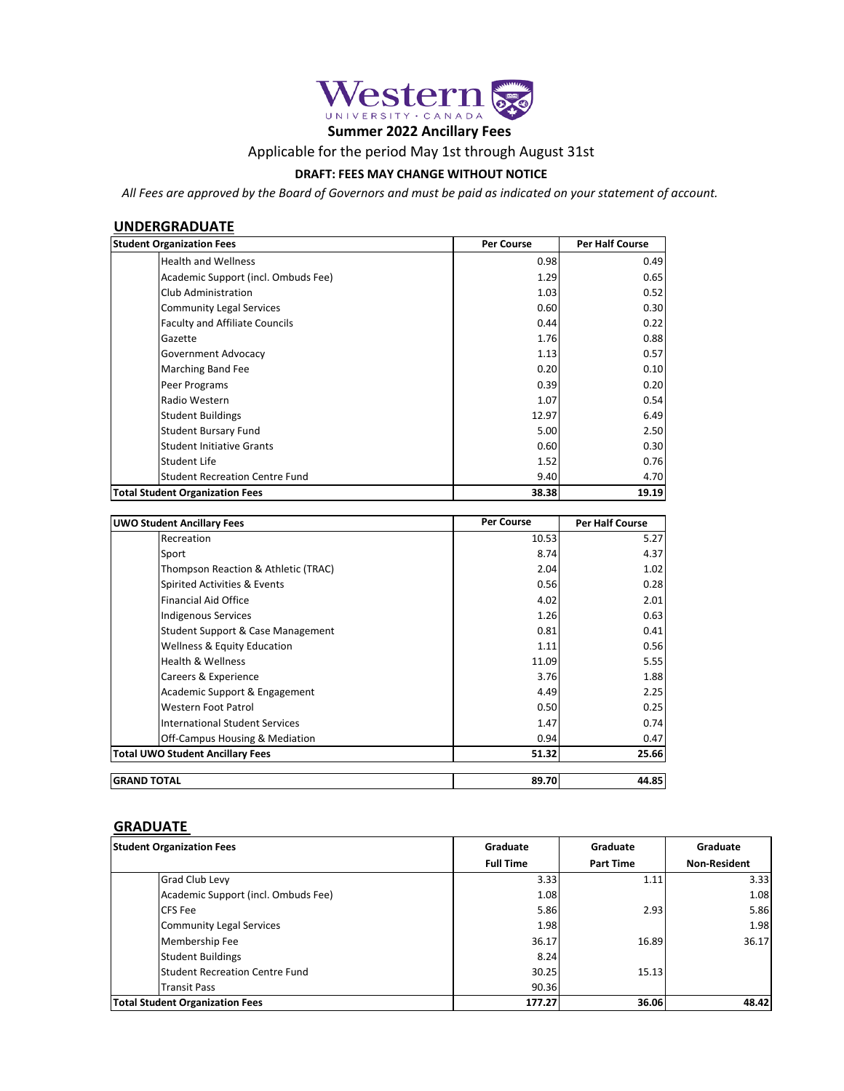

# **Summer 2022 Ancillary Fees**

## Applicable for the period May 1st through August 31st

#### **DRAFT: FEES MAY CHANGE WITHOUT NOTICE**

*All Fees are approved by the Board of Governors and must be paid as indicated on your statement of account.*

## **UNDERGRADUATE**

| <b>Student Organization Fees</b>       | <b>Per Course</b> | <b>Per Half Course</b> |
|----------------------------------------|-------------------|------------------------|
| <b>Health and Wellness</b>             | 0.98              | 0.49                   |
| Academic Support (incl. Ombuds Fee)    | 1.29              | 0.65                   |
| Club Administration                    | 1.03              | 0.52                   |
| <b>Community Legal Services</b>        | 0.60              | 0.30                   |
| <b>Faculty and Affiliate Councils</b>  | 0.44              | 0.22                   |
| Gazette                                | 1.76              | 0.88                   |
| Government Advocacy                    | 1.13              | 0.57                   |
| Marching Band Fee                      | 0.20              | 0.10                   |
| Peer Programs                          | 0.39              | 0.20                   |
| Radio Western                          | 1.07              | 0.54                   |
| <b>Student Buildings</b>               | 12.97             | 6.49                   |
| <b>Student Bursary Fund</b>            | 5.00              | 2.50                   |
| <b>Student Initiative Grants</b>       | 0.60              | 0.30                   |
| Student Life                           | 1.52              | 0.76                   |
| <b>Student Recreation Centre Fund</b>  | 9.40              | 4.70                   |
| <b>Total Student Organization Fees</b> | 38.38             | 19.19                  |

| <b>UWO Student Ancillary Fees</b>       | <b>Per Course</b> | <b>Per Half Course</b> |
|-----------------------------------------|-------------------|------------------------|
| Recreation                              | 10.53             | 5.27                   |
| Sport                                   | 8.74              | 4.37                   |
| Thompson Reaction & Athletic (TRAC)     | 2.04              | 1.02                   |
| Spirited Activities & Events            | 0.56              | 0.28                   |
| <b>Financial Aid Office</b>             | 4.02              | 2.01                   |
| <b>Indigenous Services</b>              | 1.26              | 0.63                   |
| Student Support & Case Management       | 0.81              | 0.41                   |
| <b>Wellness &amp; Equity Education</b>  | 1.11              | 0.56                   |
| <b>Health &amp; Wellness</b>            | 11.09             | 5.55                   |
| Careers & Experience                    | 3.76              | 1.88                   |
| Academic Support & Engagement           | 4.49              | 2.25                   |
| Western Foot Patrol                     | 0.50              | 0.25                   |
| <b>International Student Services</b>   | 1.47              | 0.74                   |
| Off-Campus Housing & Mediation          | 0.94              | 0.47                   |
| <b>Total UWO Student Ancillary Fees</b> | 51.32             | 25.66                  |
| <b>GRAND TOTAL</b>                      | 89.70             | 44.85                  |

## **GRADUATE**

| <b>Student Organization Fees</b>       | Graduate         | Graduate         | Graduate            |
|----------------------------------------|------------------|------------------|---------------------|
|                                        | <b>Full Time</b> | <b>Part Time</b> | <b>Non-Resident</b> |
| <b>Grad Club Levy</b>                  | 3.33             | 1.11             | 3.33                |
| Academic Support (incl. Ombuds Fee)    | 1.08             |                  | 1.08                |
| <b>CFS</b> Fee                         | 5.86             | 2.93             | 5.86                |
| <b>Community Legal Services</b>        | 1.98             |                  | 1.98                |
| Membership Fee                         | 36.17            | 16.89            | 36.17               |
| <b>Student Buildings</b>               | 8.24             |                  |                     |
| <b>Student Recreation Centre Fund</b>  | 30.25            | 15.13            |                     |
| <b>Transit Pass</b>                    | 90.36            |                  |                     |
| <b>Total Student Organization Fees</b> | 177.27           | 36.06            | 48.42               |